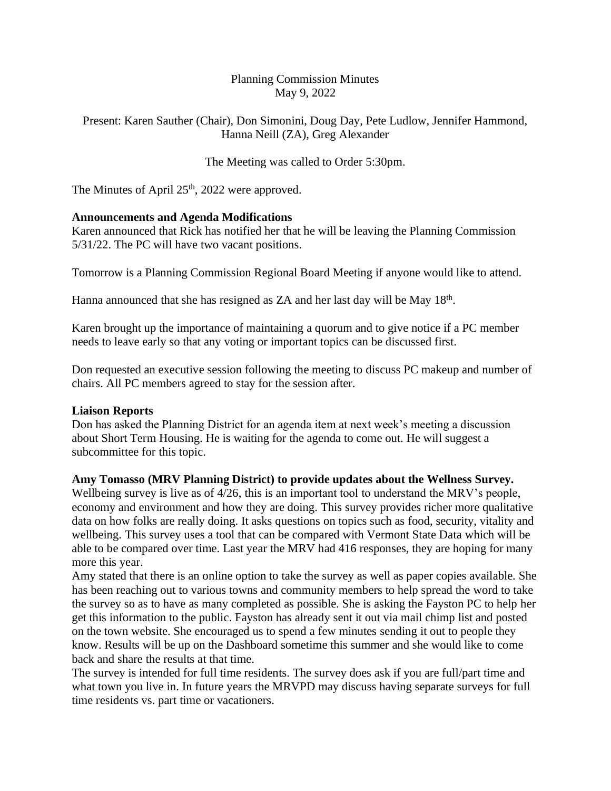# Planning Commission Minutes May 9, 2022

Present: Karen Sauther (Chair), Don Simonini, Doug Day, Pete Ludlow, Jennifer Hammond, Hanna Neill (ZA), Greg Alexander

The Meeting was called to Order 5:30pm.

The Minutes of April  $25<sup>th</sup>$ , 2022 were approved.

# **Announcements and Agenda Modifications**

Karen announced that Rick has notified her that he will be leaving the Planning Commission 5/31/22. The PC will have two vacant positions.

Tomorrow is a Planning Commission Regional Board Meeting if anyone would like to attend.

Hanna announced that she has resigned as ZA and her last day will be May 18<sup>th</sup>.

Karen brought up the importance of maintaining a quorum and to give notice if a PC member needs to leave early so that any voting or important topics can be discussed first.

Don requested an executive session following the meeting to discuss PC makeup and number of chairs. All PC members agreed to stay for the session after.

# **Liaison Reports**

Don has asked the Planning District for an agenda item at next week's meeting a discussion about Short Term Housing. He is waiting for the agenda to come out. He will suggest a subcommittee for this topic.

# **Amy Tomasso (MRV Planning District) to provide updates about the Wellness Survey.**

Wellbeing survey is live as of 4/26, this is an important tool to understand the MRV's people, economy and environment and how they are doing. This survey provides richer more qualitative data on how folks are really doing. It asks questions on topics such as food, security, vitality and wellbeing. This survey uses a tool that can be compared with Vermont State Data which will be able to be compared over time. Last year the MRV had 416 responses, they are hoping for many more this year.

Amy stated that there is an online option to take the survey as well as paper copies available. She has been reaching out to various towns and community members to help spread the word to take the survey so as to have as many completed as possible. She is asking the Fayston PC to help her get this information to the public. Fayston has already sent it out via mail chimp list and posted on the town website. She encouraged us to spend a few minutes sending it out to people they know. Results will be up on the Dashboard sometime this summer and she would like to come back and share the results at that time.

The survey is intended for full time residents. The survey does ask if you are full/part time and what town you live in. In future years the MRVPD may discuss having separate surveys for full time residents vs. part time or vacationers.